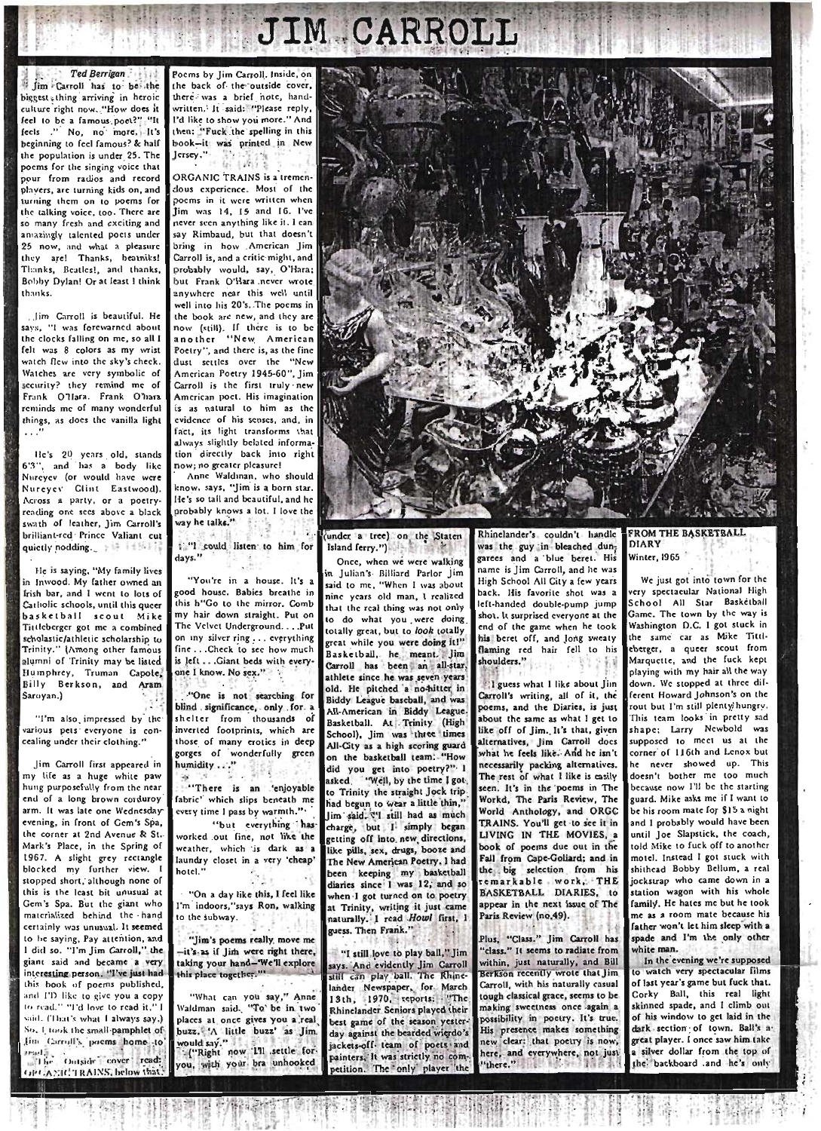## **JIM CARROLL**

**Ted Berrigan** fim Carroll has to be the biggest thing arriving in heroic culture right now. "How does it feel to be a famous poet?". "It fects ." No, no more, It's beginning to feel famous? & half the population is under 25. The poems for the singing voice that pour from radios and record plavers, are turning kids on, and turning them on to poems for the talking voice, too. There are so many fresh and exciting and amazingly talented poets under 25 now, and what a pleasure they are! Thanks, beatniks! Thanks, Beatles!, and thanks. Bobby Dylan! Or at least 1 think  $thank$ 

... (im Carroll is beautiful. He says. "I was forewarned about the clocks falling on me, so all I felt was 8 colors as my wrist watch flew into the sky's check. Watches are very symbolic of security? they remind me of Frank O'Hara, Frank O'hara reminds me of many wonderful things, as does the vanilla light

He's 20 years old, stands 6'3", and has a body like Nurevey for would have were Nurevey Clint Eastwood). Across a party, or a poetryreading one sees above a black swath of leather, Jim Carroll's brilliant-red Prince Valiant cut quietly nodding.

He is saying, "My family lives in Inwood. My father owned an Irish bar, and I went to lots of Catholic schools, until this queer basketball scout Mike Tittleberger got me a combined scholastic/athletic scholarship to Trinity." (Among other famous<br>Elumni of Trinity may be listed Humphrey, Truman Capote, Sarovan.)

"I'm also impressed by the various pets everyone is concealing under their clothing."

lim Carroll first appeared in my life as a huge white paw hung purposefully from the near end of a long brown corduroy arm. It was late one Wednesday evening, in front of Gem's Spa, the corner at 2nd Avenue & St. Mark's Place, in the Spring of 1967. A slight grey rectangle blocked my further view. I stopped short, although none of this is the least bit unusual at Gem's Spa. But the giant who materialized behind the hand certainly was unusual. It seemed to he saying, Pay attention, and I did so. "I'm Jim Carroll," the giant said and became a very interesting person. "I've just had this book of poems published, and I'D like to give you a copy to read." "I'd love to read it." said. (That's what I always say.) So, I took the small pamphlet of fim Carmil's poems home to ad. .<br>The Outside cover read: **GPCANDCTRAINS** below **Sh** 

Poems by Jim Carroll. Inside, on the back of the outside cover. there was a brief note, handwritten. It said: "Please reply, I'd like to show you more." And then: "Fuck the spelling in this book-it was printed in New Jersey."  $1.11$ 

ORGANIC TRAINS is a tremendous experience. Most of the poems in it were written when lim was 14, 15 and 16. I've never seen anything like it. I can say Rimbaud, but that doesn't bring in how American Jim Carroll is, and a critic might, and probably would, say, O'Hara; but Frank O'Hara never wrote anywhere near this well until well into his 20's. The poems in the book are new, and they are now (still). If there is to be another "New American Poetry", and there is, as the fine dust settles over the "New American Poetry 1945-60", Jim Carroll is the first truly new American poet. His imagination is as natural to  $h$ im as the evidence of his senses, and, in fact, its light transforms that always slightly belated information directly back into right now; no greater pleasure!

Anne Waldinan, who should know, says. "Iim is a born star. He's so tall and beautiful, and he probably knows a lot. I love the way he talks"

i 'I could listen to him for days."

"You're in a house. It's a good house. Babies breathe in this h"Go to the mirror. Comb my hair down straight. Put on The Velvet Underground. . . . Put on my silver ring... everything fine ...Check to see how much is left ... Giant beds with everyone I know. No sex."

"One is not searching for blind significance, only for a shelter from thousands of<br>inverted footprints, which are those of many erotics in deep gorges of wonderfully green humidity ... 3195

"There is an 'enjoyable fabric' which slips beneath me every time I pass by warmth."

"but everything has worked out fine, not like the weather, which is dark as a laundry closet in a very 'cheap' hotel "

"On a day like this, I feel like I'm indoors, 'says Ron, walking to the subway.

"Jim's poems really, move me -it's as if lim were right there. taking your hand-'We'll explore this place together.'

"What can you say," Anne Waldman said. 'To be in two places at once gives you a real buzz. A little buzz' as Jim. ould say."<br>-{"Right now 111 settle forou, with your bra unhooked



under a tree) on the Staten Island ferry.")

Once, when we were walking in Julian's Billiard Parlor Jim said to me, "When I was about ninc years old man, I realized that the real thing was not only to do what you were doing totally great, but to look totally great while you were doing it!" Basketball, he meant. Jim Carroll has been an all-star. athlete since he was seven years old. He pitched a no-hitter in Biddy League baseball, and was All-American in Biddy League. Basketball. At Trinity (High School), Jim was three times All-City as a high scoring guard on the basketball team: "How did you get into poetry?" I asked. "Well, by the time I gotto Trinity the straight Jock trip had begun to wear a little thin,' lim said. < | still had as much charge, but I simply began getting off into new directions, like pills, sex, drugs, booze and The New American Poetry, I had been keeping my basketball diaries since I was 12, and so when I got turned on to poetry a Trinity, writing it just came guess. Then Frank."

"I still love to play ball," Jim says. And evidently Jim Carrol lander Newspaper, for March 13th. 1970, reports: "The Thinelander Seniors played their best game of the season yesterday against the bearded werdo's ackets-off team of poets and painters, It was strictly no com <u>seriric</u> The only player

Rhinelander's couldn't handle was the guy in bleached dungarees and a blue beret. His name is Jim Carroll, and he was High School All City a few years back. His favorite shot was a left-handed double-pump jump shot. It surprised everyone at the end of the game when he took flaming red hair fell to his shoulders."

1 guess what I like about Jim Carroll's writing, all of it, the poems, and the Diaries, is just about the same as what I get to like off of Jim. It's that, given alternatives, Jim Carroll docs what he feels like. And he isn't necessarily packing alternatives.<br>The rest of what I like is casily seen. It's in the poems in The Workd. The Paris Review. The World Anthology, and ORGC TRAINS. You'll get to see it in book of poems due out in the Fall from Cape-Goliard; and in the big selection from his remarkable work, THE appear in the next issue of The Paris Review (no.49).

Plus, "Class." Jim Carroll has "class." It seems to radiate from within, just naturally, and Bill<br>Berkson recently wrote that Jim Carroll, with his naturally casual tough classical grace, seems to be making sweetness once again a possibility in poetry. It's true. His presence makes something new clear: that poetry is now, here, and everywhere, not just "there."

## **FROM THE BASKETBALL DIARY** Winter, 1965

We just got into town for the very spectacular National High School All Star Basketball Game. The town by the way is Washington D.C. I got stuck in the same car as Mike Tittleberger, a queer scout from sougur, a gave even.<br>Marquette, and the fuck kept playing with my hair all the way down. We stopped at three different Howard Johnson's on the rout but I'm still plenty/hungry. This team looks in pretty sad shape; Larry Newbold was supposed to meet us at the corner of 116th and Lenox but he never showed up. This doesn't bother me too much because now I'll be the starting guard. Mike asks me if I want to be his room mate for \$15 a night and I probably would have been until loe Slapstick, the coach, told Mike to fuck off to another motel. Instead I got stuck with shithead Bobby Bellum, a real jockstrap who came down in a station wagon with his whole family. He hates me but he took me as a room mate because his father won't let him sleep with a spade and I'm the only other white man.

In the evening we're supposed o watch very spectacular films of last year's game but fuck that. Corky Ball, this real light skinned spade, and I climb out of his window to get laid in the dark section of town. Ball's a great player. I once saw him take a silver dollar from the top of the backboard and he's only